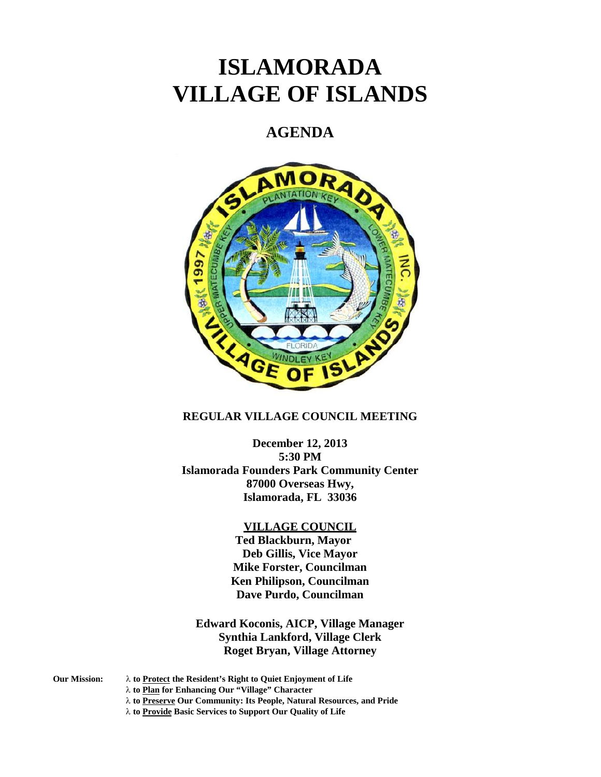# **ISLAMORADA VILLAGE OF ISLANDS**

## **AGENDA**



#### **REGULAR VILLAGE COUNCIL MEETING**

**December 12, 2013 5:30 PM Islamorada Founders Park Community Center 87000 Overseas Hwy, Islamorada, FL 33036**

#### **VILLAGE COUNCIL**

**Ted Blackburn, Mayor Deb Gillis, Vice Mayor Mike Forster, Councilman Ken Philipson, Councilman Dave Purdo, Councilman**

**Edward Koconis, AICP, Village Manager Synthia Lankford, Village Clerk Roget Bryan, Village Attorney**

- **Our Mission: to Protect the Resident's Right to Quiet Enjoyment of Life**
	- **to Plan for Enhancing Our "Village" Character**
		- **to Preserve Our Community: Its People, Natural Resources, and Pride**
		- **to Provide Basic Services to Support Our Quality of Life**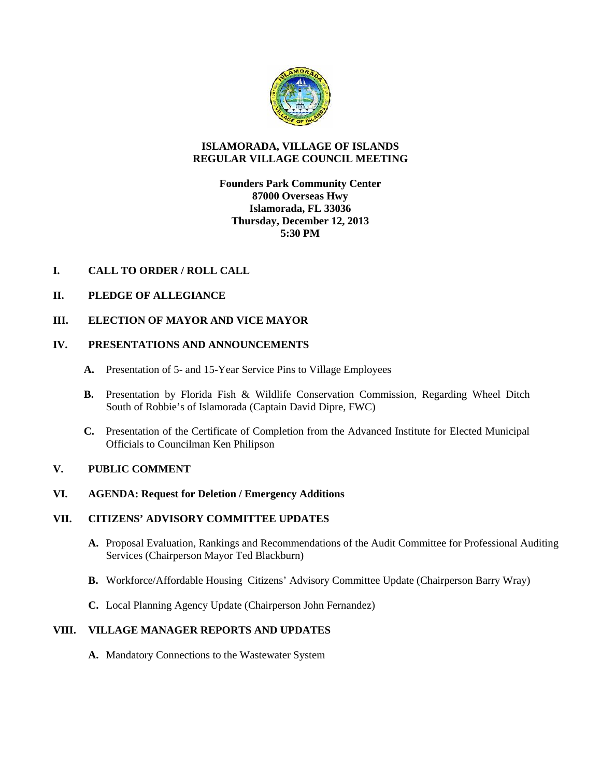

#### **ISLAMORADA, VILLAGE OF ISLANDS REGULAR VILLAGE COUNCIL MEETING**

**Founders Park Community Center 87000 Overseas Hwy Islamorada, FL 33036 Thursday, December 12, 2013 5:30 PM**

### **I. CALL TO ORDER / ROLL CALL**

### **II. PLEDGE OF ALLEGIANCE**

**III. ELECTION OF MAYOR AND VICE MAYOR**

### **IV. PRESENTATIONS AND ANNOUNCEMENTS**

- **A.** Presentation of 5- and 15-Year Service Pins to Village Employees
- **B.** Presentation by Florida Fish & Wildlife Conservation Commission, Regarding Wheel Ditch South of Robbie's of Islamorada (Captain David Dipre, FWC)
- **C.** Presentation of the Certificate of Completion from the Advanced Institute for Elected Municipal Officials to Councilman Ken Philipson

### **V. PUBLIC COMMENT**

### **VI. AGENDA: Request for Deletion / Emergency Additions**

#### **VII. CITIZENS' ADVISORY COMMITTEE UPDATES**

- **A.** Proposal Evaluation, Rankings and Recommendations of the Audit Committee for Professional Auditing Services (Chairperson Mayor Ted Blackburn)
- **B.** Workforce/Affordable Housing Citizens' Advisory Committee Update (Chairperson Barry Wray)
- **C.** Local Planning Agency Update (Chairperson John Fernandez)

### **VIII. VILLAGE MANAGER REPORTS AND UPDATES**

**A.** Mandatory Connections to the Wastewater System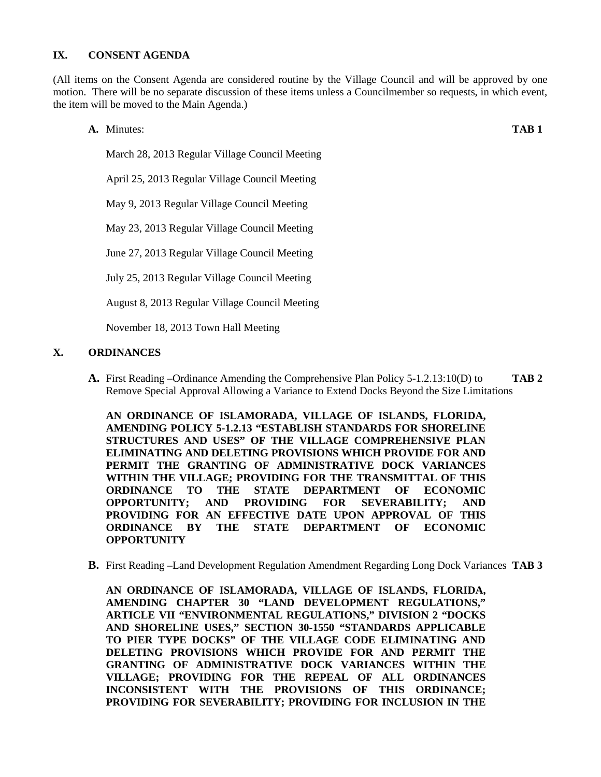#### **IX. CONSENT AGENDA**

(All items on the Consent Agenda are considered routine by the Village Council and will be approved by one motion. There will be no separate discussion of these items unless a Councilmember so requests, in which event, the item will be moved to the Main Agenda.)

**A.** Minutes: **TAB 1** March 28, 2013 Regular Village Council Meeting April 25, 2013 Regular Village Council Meeting May 9, 2013 Regular Village Council Meeting May 23, 2013 Regular Village Council Meeting June 27, 2013 Regular Village Council Meeting July 25, 2013 Regular Village Council Meeting August 8, 2013 Regular Village Council Meeting

November 18, 2013 Town Hall Meeting

#### **X. ORDINANCES**

**A.** First Reading –Ordinance Amending the Comprehensive Plan Policy 5-1.2.13:10(D) to **TAB 2** Remove Special Approval Allowing a Variance to Extend Docks Beyond the Size Limitations

**AN ORDINANCE OF ISLAMORADA, VILLAGE OF ISLANDS, FLORIDA, AMENDING POLICY 5-1.2.13 "ESTABLISH STANDARDS FOR SHORELINE STRUCTURES AND USES" OF THE VILLAGE COMPREHENSIVE PLAN ELIMINATING AND DELETING PROVISIONS WHICH PROVIDE FOR AND PERMIT THE GRANTING OF ADMINISTRATIVE DOCK VARIANCES WITHIN THE VILLAGE; PROVIDING FOR THE TRANSMITTAL OF THIS ORDINANCE TO THE STATE DEPARTMENT OF ECONOMIC OPPORTUNITY; AND PROVIDING FOR SEVERABILITY; AND PROVIDING FOR AN EFFECTIVE DATE UPON APPROVAL OF THIS ORDINANCE BY THE STATE DEPARTMENT OF ECONOMIC OPPORTUNITY**

**B.** First Reading –Land Development Regulation Amendment Regarding Long Dock Variances **TAB 3**

**AN ORDINANCE OF ISLAMORADA, VILLAGE OF ISLANDS, FLORIDA, AMENDING CHAPTER 30 "LAND DEVELOPMENT REGULATIONS," ARTICLE VII "ENVIRONMENTAL REGULATIONS," DIVISION 2 "DOCKS AND SHORELINE USES," SECTION 30-1550 "STANDARDS APPLICABLE TO PIER TYPE DOCKS" OF THE VILLAGE CODE ELIMINATING AND DELETING PROVISIONS WHICH PROVIDE FOR AND PERMIT THE GRANTING OF ADMINISTRATIVE DOCK VARIANCES WITHIN THE VILLAGE; PROVIDING FOR THE REPEAL OF ALL ORDINANCES INCONSISTENT WITH THE PROVISIONS OF THIS ORDINANCE; PROVIDING FOR SEVERABILITY; PROVIDING FOR INCLUSION IN THE**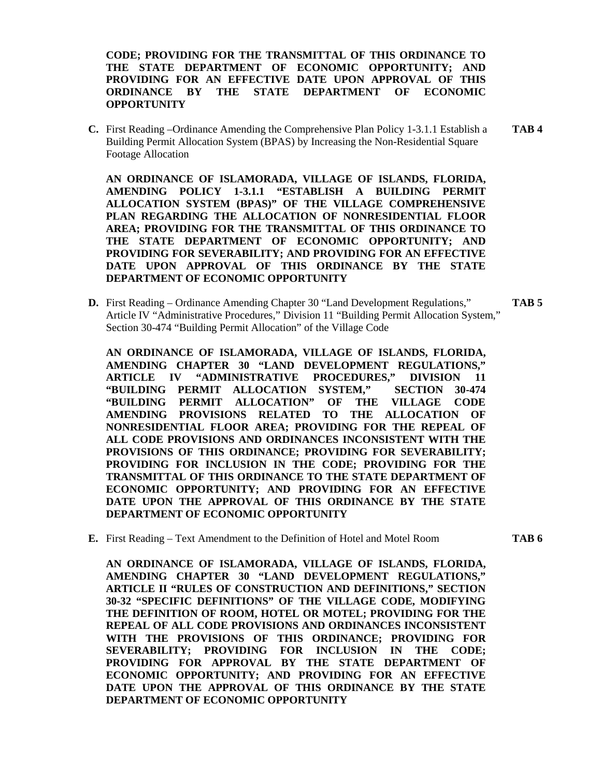**CODE; PROVIDING FOR THE TRANSMITTAL OF THIS ORDINANCE TO THE STATE DEPARTMENT OF ECONOMIC OPPORTUNITY; AND PROVIDING FOR AN EFFECTIVE DATE UPON APPROVAL OF THIS ORDINANCE BY THE STATE DEPARTMENT OF ECONOMIC OPPORTUNITY**

**C.** First Reading –Ordinance Amending the Comprehensive Plan Policy 1-3.1.1 Establish a **TAB 4** Building Permit Allocation System (BPAS) by Increasing the Non-Residential Square Footage Allocation

**AN ORDINANCE OF ISLAMORADA, VILLAGE OF ISLANDS, FLORIDA, AMENDING POLICY 1-3.1.1 "ESTABLISH A BUILDING PERMIT ALLOCATION SYSTEM (BPAS)" OF THE VILLAGE COMPREHENSIVE PLAN REGARDING THE ALLOCATION OF NONRESIDENTIAL FLOOR AREA; PROVIDING FOR THE TRANSMITTAL OF THIS ORDINANCE TO THE STATE DEPARTMENT OF ECONOMIC OPPORTUNITY; AND PROVIDING FOR SEVERABILITY; AND PROVIDING FOR AN EFFECTIVE DATE UPON APPROVAL OF THIS ORDINANCE BY THE STATE DEPARTMENT OF ECONOMIC OPPORTUNITY**

**D.** First Reading – Ordinance Amending Chapter 30 "Land Development Regulations," **TAB 5** Article IV "Administrative Procedures," Division 11 "Building Permit Allocation System," Section 30-474 "Building Permit Allocation" of the Village Code

**AN ORDINANCE OF ISLAMORADA, VILLAGE OF ISLANDS, FLORIDA, AMENDING CHAPTER 30 "LAND DEVELOPMENT REGULATIONS," ARTICLE IV "ADMINISTRATIVE PROCEDURES," DIVISION 11 "BUILDING PERMIT ALLOCATION SYSTEM," SECTION 30-474 "BUILDING PERMIT ALLOCATION" OF THE VILLAGE CODE AMENDING PROVISIONS RELATED TO THE ALLOCATION OF NONRESIDENTIAL FLOOR AREA; PROVIDING FOR THE REPEAL OF ALL CODE PROVISIONS AND ORDINANCES INCONSISTENT WITH THE PROVISIONS OF THIS ORDINANCE; PROVIDING FOR SEVERABILITY; PROVIDING FOR INCLUSION IN THE CODE; PROVIDING FOR THE TRANSMITTAL OF THIS ORDINANCE TO THE STATE DEPARTMENT OF ECONOMIC OPPORTUNITY; AND PROVIDING FOR AN EFFECTIVE DATE UPON THE APPROVAL OF THIS ORDINANCE BY THE STATE DEPARTMENT OF ECONOMIC OPPORTUNITY**

**E.** First Reading – Text Amendment to the Definition of Hotel and Motel Room **TAB 6**

**AN ORDINANCE OF ISLAMORADA, VILLAGE OF ISLANDS, FLORIDA, AMENDING CHAPTER 30 "LAND DEVELOPMENT REGULATIONS," ARTICLE II "RULES OF CONSTRUCTION AND DEFINITIONS," SECTION 30-32 "SPECIFIC DEFINITIONS" OF THE VILLAGE CODE, MODIFYING THE DEFINITION OF ROOM, HOTEL OR MOTEL; PROVIDING FOR THE REPEAL OF ALL CODE PROVISIONS AND ORDINANCES INCONSISTENT WITH THE PROVISIONS OF THIS ORDINANCE; PROVIDING FOR SEVERABILITY; PROVIDING FOR INCLUSION IN THE CODE; PROVIDING FOR APPROVAL BY THE STATE DEPARTMENT OF ECONOMIC OPPORTUNITY; AND PROVIDING FOR AN EFFECTIVE DATE UPON THE APPROVAL OF THIS ORDINANCE BY THE STATE DEPARTMENT OF ECONOMIC OPPORTUNITY**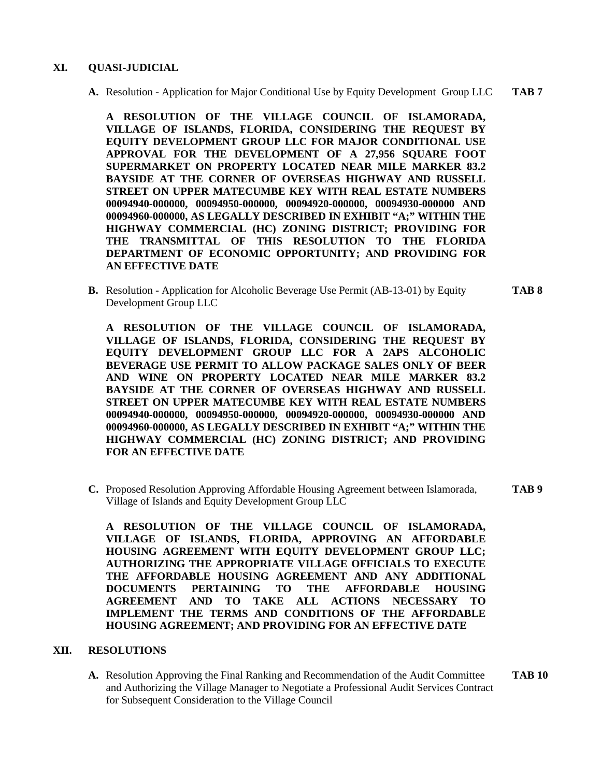#### **XI. QUASI-JUDICIAL**

**A.** Resolution - Application for Major Conditional Use by Equity Development Group LLC **TAB 7**

**A RESOLUTION OF THE VILLAGE COUNCIL OF ISLAMORADA, VILLAGE OF ISLANDS, FLORIDA, CONSIDERING THE REQUEST BY EQUITY DEVELOPMENT GROUP LLC FOR MAJOR CONDITIONAL USE APPROVAL FOR THE DEVELOPMENT OF A 27,956 SQUARE FOOT SUPERMARKET ON PROPERTY LOCATED NEAR MILE MARKER 83.2 BAYSIDE AT THE CORNER OF OVERSEAS HIGHWAY AND RUSSELL STREET ON UPPER MATECUMBE KEY WITH REAL ESTATE NUMBERS 00094940-000000, 00094950-000000, 00094920-000000, 00094930-000000 AND 00094960-000000, AS LEGALLY DESCRIBED IN EXHIBIT "A;" WITHIN THE HIGHWAY COMMERCIAL (HC) ZONING DISTRICT; PROVIDING FOR THE TRANSMITTAL OF THIS RESOLUTION TO THE FLORIDA DEPARTMENT OF ECONOMIC OPPORTUNITY; AND PROVIDING FOR AN EFFECTIVE DATE**

**B.** Resolution - Application for Alcoholic Beverage Use Permit (AB-13-01) by Equity **TAB 8** Development Group LLC

**A RESOLUTION OF THE VILLAGE COUNCIL OF ISLAMORADA, VILLAGE OF ISLANDS, FLORIDA, CONSIDERING THE REQUEST BY EQUITY DEVELOPMENT GROUP LLC FOR A 2APS ALCOHOLIC BEVERAGE USE PERMIT TO ALLOW PACKAGE SALES ONLY OF BEER AND WINE ON PROPERTY LOCATED NEAR MILE MARKER 83.2 BAYSIDE AT THE CORNER OF OVERSEAS HIGHWAY AND RUSSELL STREET ON UPPER MATECUMBE KEY WITH REAL ESTATE NUMBERS 00094940-000000, 00094950-000000, 00094920-000000, 00094930-000000 AND 00094960-000000, AS LEGALLY DESCRIBED IN EXHIBIT "A;" WITHIN THE HIGHWAY COMMERCIAL (HC) ZONING DISTRICT; AND PROVIDING FOR AN EFFECTIVE DATE**

**C.** Proposed Resolution Approving Affordable Housing Agreement between Islamorada, **TAB 9** Village of Islands and Equity Development Group LLC

**A RESOLUTION OF THE VILLAGE COUNCIL OF ISLAMORADA, VILLAGE OF ISLANDS, FLORIDA, APPROVING AN AFFORDABLE HOUSING AGREEMENT WITH EQUITY DEVELOPMENT GROUP LLC; AUTHORIZING THE APPROPRIATE VILLAGE OFFICIALS TO EXECUTE THE AFFORDABLE HOUSING AGREEMENT AND ANY ADDITIONAL DOCUMENTS PERTAINING TO THE AFFORDABLE HOUSING AGREEMENT AND TO TAKE ALL ACTIONS NECESSARY TO IMPLEMENT THE TERMS AND CONDITIONS OF THE AFFORDABLE HOUSING AGREEMENT; AND PROVIDING FOR AN EFFECTIVE DATE**

#### **XII. RESOLUTIONS**

**A.** Resolution Approving the Final Ranking and Recommendation of the Audit Committee **TAB 10** and Authorizing the Village Manager to Negotiate a Professional Audit Services Contract for Subsequent Consideration to the Village Council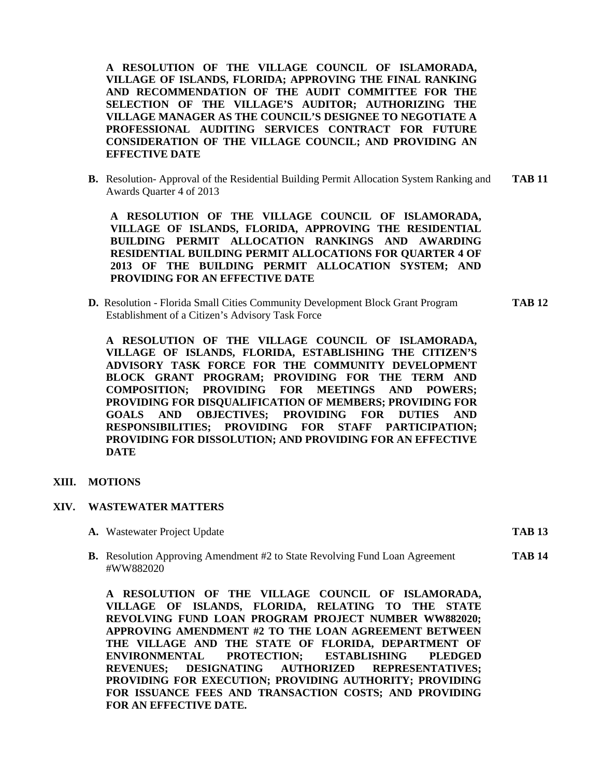**A RESOLUTION OF THE VILLAGE COUNCIL OF ISLAMORADA, VILLAGE OF ISLANDS, FLORIDA; APPROVING THE FINAL RANKING AND RECOMMENDATION OF THE AUDIT COMMITTEE FOR THE SELECTION OF THE VILLAGE'S AUDITOR; AUTHORIZING THE VILLAGE MANAGER AS THE COUNCIL'S DESIGNEE TO NEGOTIATE A PROFESSIONAL AUDITING SERVICES CONTRACT FOR FUTURE CONSIDERATION OF THE VILLAGE COUNCIL; AND PROVIDING AN EFFECTIVE DATE**

**B.** Resolution- Approval of the Residential Building Permit Allocation System Ranking and **TAB 11** Awards Quarter 4 of 2013

**A RESOLUTION OF THE VILLAGE COUNCIL OF ISLAMORADA, VILLAGE OF ISLANDS, FLORIDA, APPROVING THE RESIDENTIAL BUILDING PERMIT ALLOCATION RANKINGS AND AWARDING RESIDENTIAL BUILDING PERMIT ALLOCATIONS FOR QUARTER 4 OF 2013 OF THE BUILDING PERMIT ALLOCATION SYSTEM; AND PROVIDING FOR AN EFFECTIVE DATE**

**D.** Resolution - Florida Small Cities Community Development Block Grant Program **TAB 12** Establishment of a Citizen's Advisory Task Force

**A RESOLUTION OF THE VILLAGE COUNCIL OF ISLAMORADA, VILLAGE OF ISLANDS, FLORIDA, ESTABLISHING THE CITIZEN'S ADVISORY TASK FORCE FOR THE COMMUNITY DEVELOPMENT BLOCK GRANT PROGRAM; PROVIDING FOR THE TERM AND COMPOSITION; PROVIDING FOR MEETINGS AND POWERS; PROVIDING FOR DISQUALIFICATION OF MEMBERS; PROVIDING FOR GOALS AND OBJECTIVES; PROVIDING FOR DUTIES AND RESPONSIBILITIES; PROVIDING FOR STAFF PARTICIPATION; PROVIDING FOR DISSOLUTION; AND PROVIDING FOR AN EFFECTIVE DATE**

#### **XIII. MOTIONS**

#### **XIV. WASTEWATER MATTERS**

**A.** Wastewater Project Update **TAB 13**

**B.** Resolution Approving Amendment #2 to State Revolving Fund Loan Agreement **TAB 14** #WW882020

**A RESOLUTION OF THE VILLAGE COUNCIL OF ISLAMORADA, VILLAGE OF ISLANDS, FLORIDA, RELATING TO THE STATE REVOLVING FUND LOAN PROGRAM PROJECT NUMBER WW882020; APPROVING AMENDMENT #2 TO THE LOAN AGREEMENT BETWEEN THE VILLAGE AND THE STATE OF FLORIDA, DEPARTMENT OF ENVIRONMENTAL PROTECTION; ESTABLISHING PLEDGED REVENUES; DESIGNATING AUTHORIZED REPRESENTATIVES; PROVIDING FOR EXECUTION; PROVIDING AUTHORITY; PROVIDING FOR ISSUANCE FEES AND TRANSACTION COSTS; AND PROVIDING FOR AN EFFECTIVE DATE.**